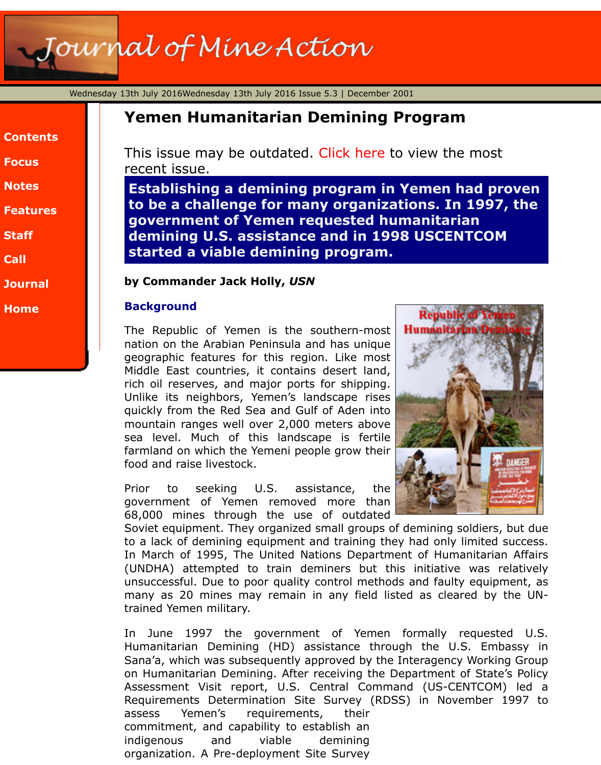|  | lontent |  |  |
|--|---------|--|--|
|  |         |  |  |
|  |         |  |  |

**Focus**

**Notes**

**Features**

**[Staff](http://www.jmu.edu/cisr/journal/5.3/index.htm)**

**[Call](http://www.jmu.edu/cisr/journal/5.3/index.htm#focus)**

**[Journa](http://www.jmu.edu/cisr/journal/5.3/index.htm#notes)l**

**[Home](http://www.jmu.edu/cisr/journal/5.3/index.htm#feature)**

# **Yemen Humanitarian Demining Program**

This issue may be outdated. Click here to view the most recent issue.

**Establishing a demining program in Yemen had pro** to be a challenge for many organizations. In 1997, **government of Yemen requested humanitarian demining U.S. assistance and in 1998 USCENTCOM started a viable deminin[g program](http://www.jmu.edu/cisr/journal/current.shtml).**

# **by Commander Jack Holly,** *USN*

# **Background**

The Republic of Yemen is the southern-most nation on the Arabian Peninsula and has unique geographic features for this region. Like most Middle East countries, it contains desert land, rich oil reserves, and major ports for shipping. Unlike its neighbors, Yemen's landscape rises quickly from the Red Sea and Gulf of Aden into mountain ranges well over 2,000 meters above sea level. Much of this landscape is fertile farmland on which the Yemeni people grow their food and raise livestock.



Prior to seeking U.S. assistance, the government of Yemen removed more than 68,000 mines through the use of outdated

Soviet equipment. They organized small groups of demining soldiers, but to a lack of demining equipment and training they had only limited so In March of 1995, The United Nations Department of Humanitarian (UNDHA) attempted to train deminers but this initiative was re unsuccessful. Due to poor quality control methods and faulty equipm many as 20 mines may remain in any field listed as cleared by the trained Yemen military.

In June 1997 the government of Yemen formally requested Humanitarian Demining (HD) assistance through the U.S. Emba Sana'a, which was subsequently approved by the Interagency Working on Humanitarian Demining. After receiving the Department of State's Assessment Visit report, U.S. Central Command (US-CENTCOM) Requirements Determination Site Survey (RDSS) in November 19 assess Yemen's requirements, their commitment, and capability to establish an indigenous and viable demining organization. A Pre-deployment Site Survey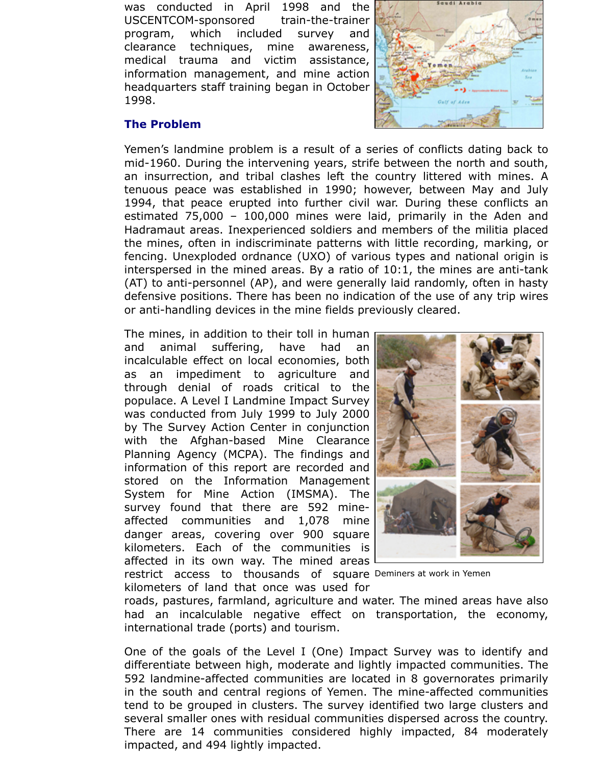was conducted in April 1998 and the USCENTCOM-sponsored train-the-trainer program, which included survey and clearance techniques, mine awareness, medical trauma and victim assistance, information management, and mine action headquarters staff training began in October 1998.

# **The Problem**

Yemen's landmine problem is a result of a series of conflicts dating back to mid-1960. During the intervening years, strife between the north and south, an insurrection, and tribal clashes left the country littered with mines. A tenuous peace was established in 1990; however, between May and July 1994, that peace erupted into further civil war. During these conflicts an estimated 75,000 – 100,000 mines were laid, primarily in the Aden and Hadramaut areas. Inexperienced soldiers and members of the militia placed the mines, often in indiscriminate patterns with little recording, marking, or fencing. Unexploded ordnance (UXO) of various types and national origin is interspersed in the mined areas. By a ratio of 10:1, the mines are anti-tank (AT) to anti-personnel (AP), and were generally laid randomly, often in hasty defensive positions. There has been no indication of the use of any trip wires or anti-handling devices in the mine fields previously cleared.

restrict access to thousands of square Deminers at work in Yemen The mines, in addition to their toll in human and animal suffering, have had an incalculable effect on local economies, both as an impediment to agriculture and through denial of roads critical to the populace. A Level I Landmine Impact Survey was conducted from July 1999 to July 2000 by The Survey Action Center in conjunction with the Afghan-based Mine Clearance Planning Agency (MCPA). The findings and information of this report are recorded and stored on the Information Management System for Mine Action (IMSMA). The survey found that there are 592 mineaffected communities and 1,078 mine danger areas, covering over 900 square kilometers. Each of the communities is affected in its own way. The mined areas

kilometers of land that once was used for



roads, pastures, farmland, agriculture and water. The mined areas have also had an incalculable negative effect on transportation, the economy, international trade (ports) and tourism.

One of the goals of the Level I (One) Impact Survey was to identify and differentiate between high, moderate and lightly impacted communities. The 592 landmine-affected communities are located in 8 governorates primarily in the south and central regions of Yemen. The mine-affected communities tend to be grouped in clusters. The survey identified two large clusters and several smaller ones with residual communities dispersed across the country. There are 14 communities considered highly impacted, 84 moderately impacted, and 494 lightly impacted.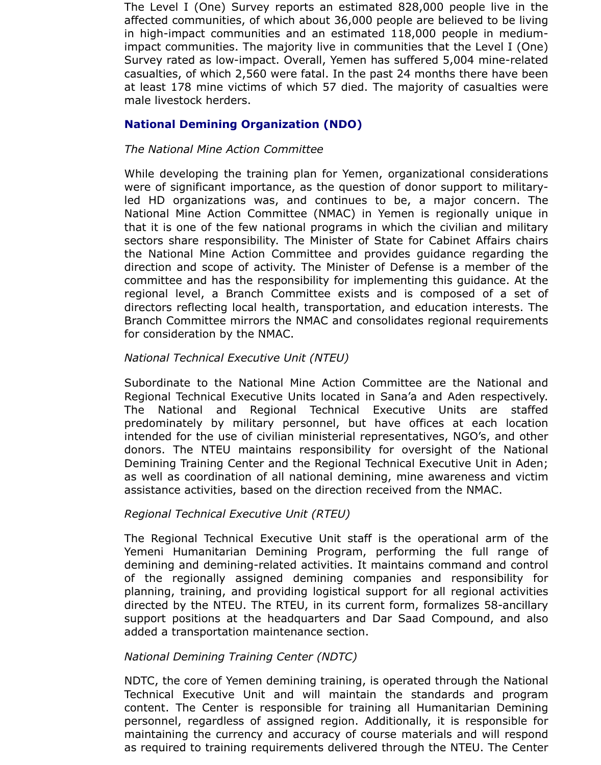The Level I (One) Survey reports an estimated 828,000 people live in the affected communities, of which about 36,000 people are believed to be living in high-impact communities and an estimated 118,000 people in mediumimpact communities. The majority live in communities that the Level I (One) Survey rated as low-impact. Overall, Yemen has suffered 5,004 mine-related casualties, of which 2,560 were fatal. In the past 24 months there have been at least 178 mine victims of which 57 died. The majority of casualties were male livestock herders.

# **National Demining Organization (NDO)**

## *The National Mine Action Committee*

While developing the training plan for Yemen, organizational considerations were of significant importance, as the question of donor support to militaryled HD organizations was, and continues to be, a major concern. The National Mine Action Committee (NMAC) in Yemen is regionally unique in that it is one of the few national programs in which the civilian and military sectors share responsibility. The Minister of State for Cabinet Affairs chairs the National Mine Action Committee and provides guidance regarding the direction and scope of activity. The Minister of Defense is a member of the committee and has the responsibility for implementing this guidance. At the regional level, a Branch Committee exists and is composed of a set of directors reflecting local health, transportation, and education interests. The Branch Committee mirrors the NMAC and consolidates regional requirements for consideration by the NMAC.

# *National Technical Executive Unit (NTEU)*

Subordinate to the National Mine Action Committee are the National and Regional Technical Executive Units located in Sana'a and Aden respectively. The National and Regional Technical Executive Units are staffed predominately by military personnel, but have offices at each location intended for the use of civilian ministerial representatives, NGO's, and other donors. The NTEU maintains responsibility for oversight of the National Demining Training Center and the Regional Technical Executive Unit in Aden; as well as coordination of all national demining, mine awareness and victim assistance activities, based on the direction received from the NMAC.

### *Regional Technical Executive Unit (RTEU)*

The Regional Technical Executive Unit staff is the operational arm of the Yemeni Humanitarian Demining Program, performing the full range of demining and demining-related activities. It maintains command and control of the regionally assigned demining companies and responsibility for planning, training, and providing logistical support for all regional activities directed by the NTEU. The RTEU, in its current form, formalizes 58-ancillary support positions at the headquarters and Dar Saad Compound, and also added a transportation maintenance section.

### *National Demining Training Center (NDTC)*

NDTC, the core of Yemen demining training, is operated through the National Technical Executive Unit and will maintain the standards and program content. The Center is responsible for training all Humanitarian Demining personnel, regardless of assigned region. Additionally, it is responsible for maintaining the currency and accuracy of course materials and will respond as required to training requirements delivered through the NTEU. The Center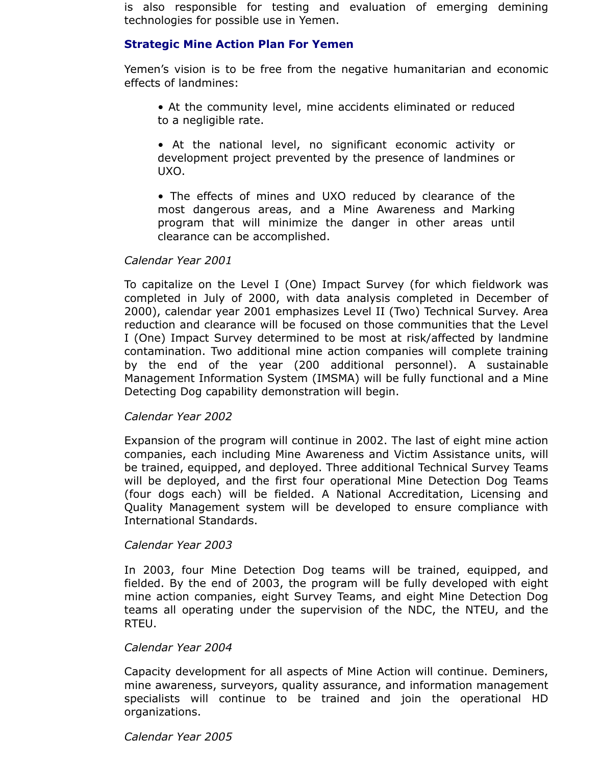is also responsible for testing and evaluation of emerging demining technologies for possible use in Yemen.

# **Strategic Mine Action Plan For Yemen**

Yemen's vision is to be free from the negative humanitarian and economic effects of landmines:

- At the community level, mine accidents eliminated or reduced to a negligible rate.
- At the national level, no significant economic activity or development project prevented by the presence of landmines or UXO.
- The effects of mines and UXO reduced by clearance of the most dangerous areas, and a Mine Awareness and Marking program that will minimize the danger in other areas until clearance can be accomplished.

# *Calendar Year 2001*

To capitalize on the Level I (One) Impact Survey (for which fieldwork was completed in July of 2000, with data analysis completed in December of 2000), calendar year 2001 emphasizes Level II (Two) Technical Survey. Area reduction and clearance will be focused on those communities that the Level I (One) Impact Survey determined to be most at risk/affected by landmine contamination. Two additional mine action companies will complete training by the end of the year (200 additional personnel). A sustainable Management Information System (IMSMA) will be fully functional and a Mine Detecting Dog capability demonstration will begin.

### *Calendar Year 2002*

Expansion of the program will continue in 2002. The last of eight mine action companies, each including Mine Awareness and Victim Assistance units, will be trained, equipped, and deployed. Three additional Technical Survey Teams will be deployed, and the first four operational Mine Detection Dog Teams (four dogs each) will be fielded. A National Accreditation, Licensing and Quality Management system will be developed to ensure compliance with International Standards.

### *Calendar Year 2003*

In 2003, four Mine Detection Dog teams will be trained, equipped, and fielded. By the end of 2003, the program will be fully developed with eight mine action companies, eight Survey Teams, and eight Mine Detection Dog teams all operating under the supervision of the NDC, the NTEU, and the RTEU.

### *Calendar Year 2004*

Capacity development for all aspects of Mine Action will continue. Deminers, mine awareness, surveyors, quality assurance, and information management specialists will continue to be trained and join the operational HD organizations.

### *Calendar Year 2005*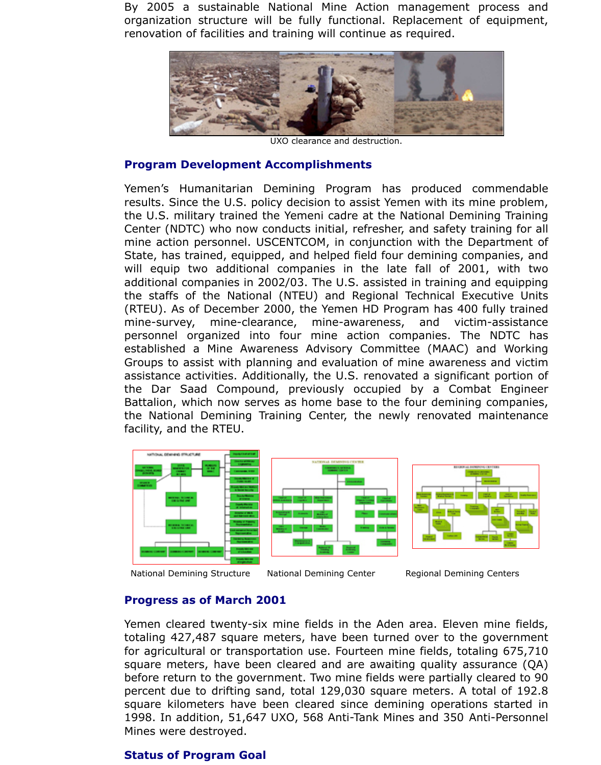

UXO clearance and destruction.

### **Program Development Accomplishments**

Yemen's Humanitarian Demining Program has produced comme results. Since the U.S. policy decision to assist Yemen with its mine pr the U.S. military trained the Yemeni cadre at the National Demining T Center (NDTC) who now conducts initial, refresher, and safety training mine action personnel. USCENTCOM, in conjunction with the Departn State, has trained, equipped, and helped field four demining companies will equip two additional companies in the late fall of 2001, with additional companies in 2002/03. The U.S. assisted in training and equ the staffs of the National (NTEU) and Regional Technical Executive (RTEU). As of December 2000, the Yemen HD Program has 400 fully mine-survey, mine-clearance, mine-awareness, and victim-ass personnel organized into four mine action companies. The NDT established a Mine Awareness Advisory Committee (MAAC) and W Groups to assist with planning and evaluation of mine awareness and assistance activities. Additionally, the U.S. renovated a significant portain of the Dar Saad Compound, previously occupied by a Combat Er Battalion, which now serves as home base to the four demining compated the National Demining Training Center, the newly renovated maintenance facility, and the RTEU.



National Demining Structure National Demining Center Regional Demining Centers

# **[Progress as of March 2](http://www.jmu.edu/cisr/journal/5.3/focus/Jack_Holly/nationaldeminingstructure.htm)001**

Yemen cleared twenty-six [mine fields in the Aden](http://www.jmu.edu/cisr/journal/5.3/focus/Jack_Holly/nationaldeminingcenter.htm) area. Eleven mine totaling 427,487 square meters, have been turned over to the govern for agricultural or transportation use. Fourteen mine fields, totaling 6 square meters, have been cleared and are awaiting quality assurance before return to the government. Two mine fields were partially cleared percent due to drifting sand, total 129,030 square meters. A total of square kilometers have been cleared since demining operations started in and in the independent in the independent in the independent in the independent in the independent in the independent in the independent in the indep 1998. In addition, 51,647 UXO, 568 Anti-Tank Mines and 350 Anti-Per Mines were destroyed.

# **Status of Program Goal**